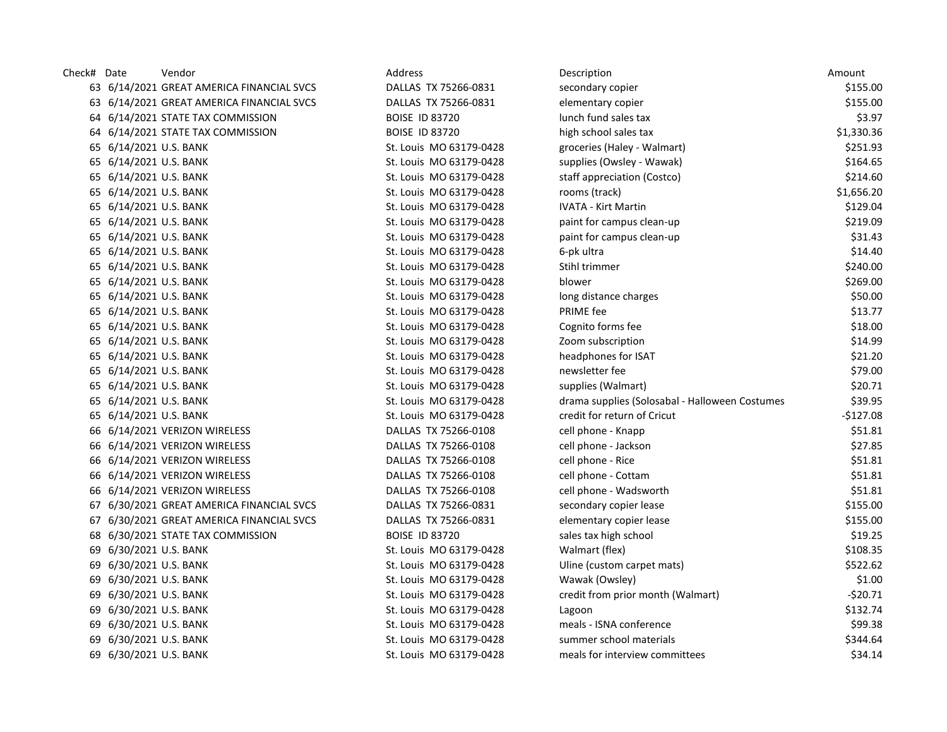| Check# Date |                        | Vendor                                    | Address                 | Description                                    | Amount     |
|-------------|------------------------|-------------------------------------------|-------------------------|------------------------------------------------|------------|
|             |                        | 63 6/14/2021 GREAT AMERICA FINANCIAL SVCS | DALLAS TX 75266-0831    | secondary copier                               | \$155.00   |
|             |                        | 63 6/14/2021 GREAT AMERICA FINANCIAL SVCS | DALLAS TX 75266-0831    | elementary copier                              | \$155.00   |
|             |                        | 64 6/14/2021 STATE TAX COMMISSION         | <b>BOISE ID 83720</b>   | lunch fund sales tax                           | \$3.97     |
|             |                        | 64 6/14/2021 STATE TAX COMMISSION         | <b>BOISE ID 83720</b>   | high school sales tax                          | \$1,330.36 |
|             | 65 6/14/2021 U.S. BANK |                                           | St. Louis MO 63179-0428 | groceries (Haley - Walmart)                    | \$251.93   |
|             | 65 6/14/2021 U.S. BANK |                                           | St. Louis MO 63179-0428 | supplies (Owsley - Wawak)                      | \$164.65   |
|             | 65 6/14/2021 U.S. BANK |                                           | St. Louis MO 63179-0428 | staff appreciation (Costco)                    | \$214.60   |
|             | 65 6/14/2021 U.S. BANK |                                           | St. Louis MO 63179-0428 | rooms (track)                                  | \$1,656.20 |
|             | 65 6/14/2021 U.S. BANK |                                           | St. Louis MO 63179-0428 | <b>IVATA - Kirt Martin</b>                     | \$129.04   |
|             | 65 6/14/2021 U.S. BANK |                                           | St. Louis MO 63179-0428 | paint for campus clean-up                      | \$219.09   |
|             | 65 6/14/2021 U.S. BANK |                                           | St. Louis MO 63179-0428 | paint for campus clean-up                      | \$31.43    |
|             | 65 6/14/2021 U.S. BANK |                                           | St. Louis MO 63179-0428 | 6-pk ultra                                     | \$14.40    |
|             | 65 6/14/2021 U.S. BANK |                                           | St. Louis MO 63179-0428 | Stihl trimmer                                  | \$240.00   |
|             | 65 6/14/2021 U.S. BANK |                                           | St. Louis MO 63179-0428 | blower                                         | \$269.00   |
|             | 65 6/14/2021 U.S. BANK |                                           | St. Louis MO 63179-0428 | long distance charges                          | \$50.00    |
|             | 65 6/14/2021 U.S. BANK |                                           | St. Louis MO 63179-0428 | PRIME fee                                      | \$13.77    |
|             | 65 6/14/2021 U.S. BANK |                                           | St. Louis MO 63179-0428 | Cognito forms fee                              | \$18.00    |
|             | 65 6/14/2021 U.S. BANK |                                           | St. Louis MO 63179-0428 | Zoom subscription                              | \$14.99    |
|             | 65 6/14/2021 U.S. BANK |                                           | St. Louis MO 63179-0428 | headphones for ISAT                            | \$21.20    |
|             | 65 6/14/2021 U.S. BANK |                                           | St. Louis MO 63179-0428 | newsletter fee                                 | \$79.00    |
|             | 65 6/14/2021 U.S. BANK |                                           | St. Louis MO 63179-0428 | supplies (Walmart)                             | \$20.71    |
|             | 65 6/14/2021 U.S. BANK |                                           | St. Louis MO 63179-0428 | drama supplies (Solosabal - Halloween Costumes | \$39.95    |
|             | 65 6/14/2021 U.S. BANK |                                           | St. Louis MO 63179-0428 | credit for return of Cricut                    | $-$127.08$ |
|             |                        | 66 6/14/2021 VERIZON WIRELESS             | DALLAS TX 75266-0108    | cell phone - Knapp                             | \$51.81    |
|             |                        | 66 6/14/2021 VERIZON WIRELESS             | DALLAS TX 75266-0108    | cell phone - Jackson                           | \$27.85    |
|             |                        | 66 6/14/2021 VERIZON WIRELESS             | DALLAS TX 75266-0108    | cell phone - Rice                              | \$51.81    |
|             |                        | 66 6/14/2021 VERIZON WIRELESS             | DALLAS TX 75266-0108    | cell phone - Cottam                            | \$51.81    |
|             |                        | 66 6/14/2021 VERIZON WIRELESS             | DALLAS TX 75266-0108    | cell phone - Wadsworth                         | \$51.81    |
|             |                        | 67 6/30/2021 GREAT AMERICA FINANCIAL SVCS | DALLAS TX 75266-0831    | secondary copier lease                         | \$155.00   |
|             |                        | 67 6/30/2021 GREAT AMERICA FINANCIAL SVCS | DALLAS TX 75266-0831    | elementary copier lease                        | \$155.00   |
|             |                        | 68 6/30/2021 STATE TAX COMMISSION         | <b>BOISE ID 83720</b>   | sales tax high school                          | \$19.25    |
|             | 69 6/30/2021 U.S. BANK |                                           | St. Louis MO 63179-0428 | Walmart (flex)                                 | \$108.35   |
|             | 69 6/30/2021 U.S. BANK |                                           | St. Louis MO 63179-0428 | Uline (custom carpet mats)                     | \$522.62   |
|             | 69 6/30/2021 U.S. BANK |                                           | St. Louis MO 63179-0428 | Wawak (Owsley)                                 | \$1.00     |
|             | 69 6/30/2021 U.S. BANK |                                           | St. Louis MO 63179-0428 | credit from prior month (Walmart)              | $-520.71$  |
|             | 69 6/30/2021 U.S. BANK |                                           | St. Louis MO 63179-0428 | Lagoon                                         | \$132.74   |
|             | 69 6/30/2021 U.S. BANK |                                           | St. Louis MO 63179-0428 | meals - ISNA conference                        | \$99.38    |
|             | 69 6/30/2021 U.S. BANK |                                           | St. Louis MO 63179-0428 | summer school materials                        | \$344.64   |
|             | 69 6/30/2021 U.S. BANK |                                           | St. Louis MO 63179-0428 | meals for interview committees                 | \$34.14    |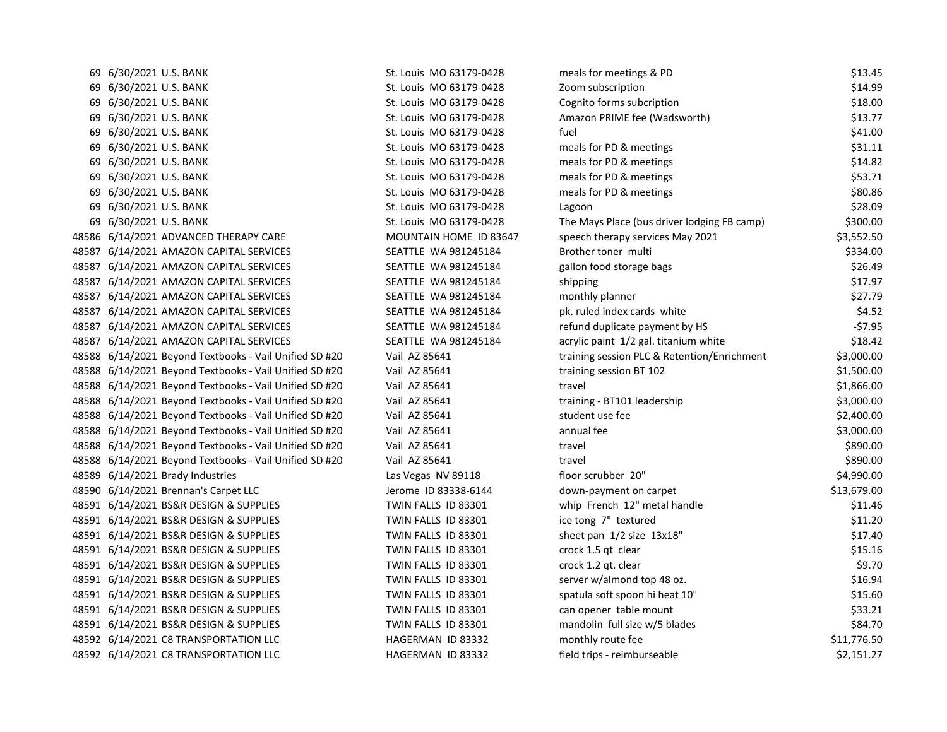| 69 6/30/2021 U.S. BANK                                 | St. Louis MO 63179-0428 | meals for meetings & PD                     | \$13.45     |
|--------------------------------------------------------|-------------------------|---------------------------------------------|-------------|
| 69 6/30/2021 U.S. BANK                                 | St. Louis MO 63179-0428 | Zoom subscription                           | \$14.99     |
| 69 6/30/2021 U.S. BANK                                 | St. Louis MO 63179-0428 | Cognito forms subcription                   | \$18.00     |
| 69 6/30/2021 U.S. BANK                                 | St. Louis MO 63179-0428 | Amazon PRIME fee (Wadsworth)                | \$13.77     |
| 69 6/30/2021 U.S. BANK                                 | St. Louis MO 63179-0428 | fuel                                        | \$41.00     |
| 69 6/30/2021 U.S. BANK                                 | St. Louis MO 63179-0428 | meals for PD & meetings                     | \$31.11     |
| 69 6/30/2021 U.S. BANK                                 | St. Louis MO 63179-0428 | meals for PD & meetings                     | \$14.82     |
| 69 6/30/2021 U.S. BANK                                 | St. Louis MO 63179-0428 | meals for PD & meetings                     | \$53.71     |
| 69 6/30/2021 U.S. BANK                                 | St. Louis MO 63179-0428 | meals for PD & meetings                     | \$80.86     |
| 69 6/30/2021 U.S. BANK                                 | St. Louis MO 63179-0428 | Lagoon                                      | \$28.09     |
| 69 6/30/2021 U.S. BANK                                 | St. Louis MO 63179-0428 | The Mays Place (bus driver lodging FB camp) | \$300.00    |
| 48586 6/14/2021 ADVANCED THERAPY CARE                  | MOUNTAIN HOME ID 83647  | speech therapy services May 2021            | \$3,552.50  |
| 48587 6/14/2021 AMAZON CAPITAL SERVICES                | SEATTLE WA 981245184    | Brother toner multi                         | \$334.00    |
| 48587 6/14/2021 AMAZON CAPITAL SERVICES                | SEATTLE WA 981245184    | gallon food storage bags                    | \$26.49     |
| 48587 6/14/2021 AMAZON CAPITAL SERVICES                | SEATTLE WA 981245184    | shipping                                    | \$17.97     |
| 48587 6/14/2021 AMAZON CAPITAL SERVICES                | SEATTLE WA 981245184    | monthly planner                             | \$27.79     |
| 48587 6/14/2021 AMAZON CAPITAL SERVICES                | SEATTLE WA 981245184    | pk. ruled index cards white                 | \$4.52      |
| 48587 6/14/2021 AMAZON CAPITAL SERVICES                | SEATTLE WA 981245184    | refund duplicate payment by HS              | $-57.95$    |
| 48587 6/14/2021 AMAZON CAPITAL SERVICES                | SEATTLE WA 981245184    | acrylic paint 1/2 gal. titanium white       | \$18.42     |
| 48588 6/14/2021 Beyond Textbooks - Vail Unified SD #20 | Vail AZ 85641           | training session PLC & Retention/Enrichment | \$3,000.00  |
| 48588 6/14/2021 Beyond Textbooks - Vail Unified SD #20 | Vail AZ 85641           | training session BT 102                     | \$1,500.00  |
| 48588 6/14/2021 Beyond Textbooks - Vail Unified SD #20 | Vail AZ 85641           | travel                                      | \$1,866.00  |
| 48588 6/14/2021 Beyond Textbooks - Vail Unified SD #20 | Vail AZ 85641           | training - BT101 leadership                 | \$3,000.00  |
| 48588 6/14/2021 Beyond Textbooks - Vail Unified SD #20 | Vail AZ 85641           | student use fee                             | \$2,400.00  |
| 48588 6/14/2021 Beyond Textbooks - Vail Unified SD #20 | Vail AZ 85641           | annual fee                                  | \$3,000.00  |
| 48588 6/14/2021 Beyond Textbooks - Vail Unified SD #20 | Vail AZ 85641           | travel                                      | \$890.00    |
| 48588 6/14/2021 Beyond Textbooks - Vail Unified SD #20 | Vail AZ 85641           | travel                                      | \$890.00    |
| 48589 6/14/2021 Brady Industries                       | Las Vegas NV 89118      | floor scrubber 20"                          | \$4,990.00  |
| 48590 6/14/2021 Brennan's Carpet LLC                   | Jerome ID 83338-6144    | down-payment on carpet                      | \$13,679.00 |
| 48591 6/14/2021 BS&R DESIGN & SUPPLIES                 | TWIN FALLS ID 83301     | whip French 12" metal handle                | \$11.46     |
| 48591 6/14/2021 BS&R DESIGN & SUPPLIES                 | TWIN FALLS ID 83301     | ice tong 7" textured                        | \$11.20     |
| 48591 6/14/2021 BS&R DESIGN & SUPPLIES                 | TWIN FALLS ID 83301     | sheet pan 1/2 size 13x18"                   | \$17.40     |
| 48591 6/14/2021 BS&R DESIGN & SUPPLIES                 | TWIN FALLS ID 83301     | crock 1.5 qt clear                          | \$15.16     |
| 48591 6/14/2021 BS&R DESIGN & SUPPLIES                 | TWIN FALLS ID 83301     | crock 1.2 gt. clear                         | \$9.70      |
| 48591 6/14/2021 BS&R DESIGN & SUPPLIES                 | TWIN FALLS ID 83301     | server w/almond top 48 oz.                  | \$16.94     |
| 48591 6/14/2021 BS&R DESIGN & SUPPLIES                 | TWIN FALLS ID 83301     | spatula soft spoon hi heat 10"              | \$15.60     |
| 48591 6/14/2021 BS&R DESIGN & SUPPLIES                 | TWIN FALLS ID 83301     | can opener table mount                      | \$33.21     |
| 48591 6/14/2021 BS&R DESIGN & SUPPLIES                 | TWIN FALLS ID 83301     | mandolin full size w/5 blades               | \$84.70     |
| 48592 6/14/2021 C8 TRANSPORTATION LLC                  | HAGERMAN ID 83332       | monthly route fee                           | \$11,776.50 |
| 48592 6/14/2021 C8 TRANSPORTATION LLC                  | HAGERMAN ID 83332       | field trips - reimburseable                 | \$2,151.27  |
|                                                        |                         |                                             |             |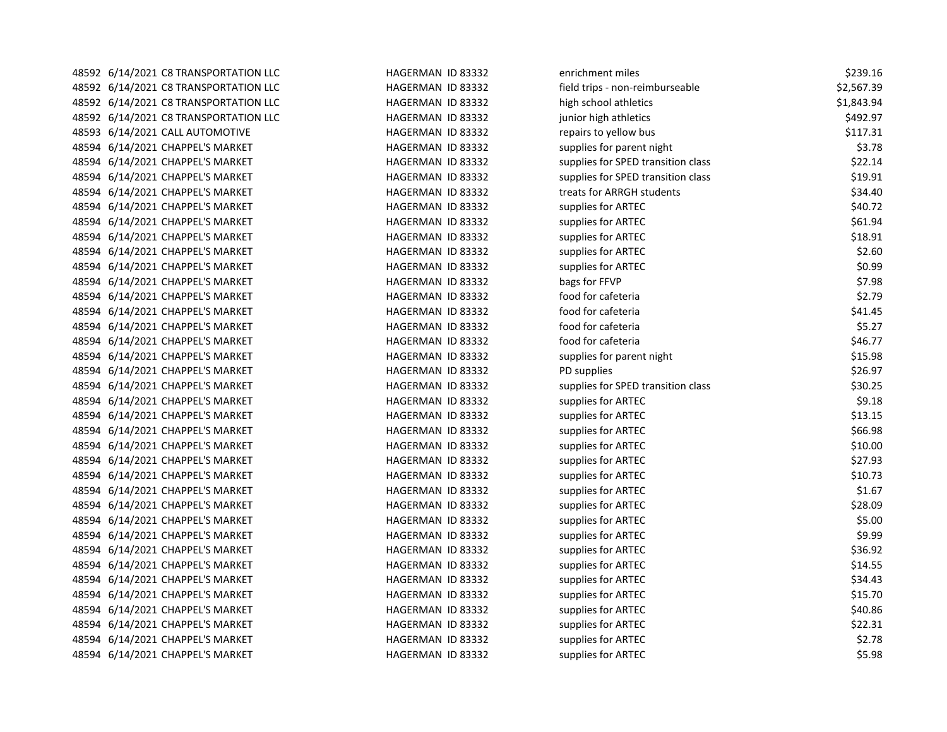| 48592 6/14/2021 C8 TRANSPORTATION LLC | HAGERMAN ID 83332 | enrichment miles                   | \$239.16   |
|---------------------------------------|-------------------|------------------------------------|------------|
| 48592 6/14/2021 C8 TRANSPORTATION LLC | HAGERMAN ID 83332 | field trips - non-reimburseable    | \$2,567.39 |
| 48592 6/14/2021 C8 TRANSPORTATION LLC | HAGERMAN ID 83332 | high school athletics              | \$1,843.94 |
| 48592 6/14/2021 C8 TRANSPORTATION LLC | HAGERMAN ID 83332 | junior high athletics              | \$492.97   |
| 48593 6/14/2021 CALL AUTOMOTIVE       | HAGERMAN ID 83332 | repairs to yellow bus              | \$117.31   |
| 48594 6/14/2021 CHAPPEL'S MARKET      | HAGERMAN ID 83332 | supplies for parent night          | \$3.78     |
| 48594 6/14/2021 CHAPPEL'S MARKET      | HAGERMAN ID 83332 | supplies for SPED transition class | \$22.14    |
| 48594 6/14/2021 CHAPPEL'S MARKET      | HAGERMAN ID 83332 | supplies for SPED transition class | \$19.91    |
| 48594 6/14/2021 CHAPPEL'S MARKET      | HAGERMAN ID 83332 | treats for ARRGH students          | \$34.40    |
| 48594 6/14/2021 CHAPPEL'S MARKET      | HAGERMAN ID 83332 | supplies for ARTEC                 | \$40.72    |
| 48594 6/14/2021 CHAPPEL'S MARKET      | HAGERMAN ID 83332 | supplies for ARTEC                 | \$61.94    |
| 48594 6/14/2021 CHAPPEL'S MARKET      | HAGERMAN ID 83332 | supplies for ARTEC                 | \$18.91    |
| 48594 6/14/2021 CHAPPEL'S MARKET      | HAGERMAN ID 83332 | supplies for ARTEC                 | \$2.60     |
| 48594 6/14/2021 CHAPPEL'S MARKET      | HAGERMAN ID 83332 | supplies for ARTEC                 | \$0.99     |
| 48594 6/14/2021 CHAPPEL'S MARKET      | HAGERMAN ID 83332 | bags for FFVP                      | \$7.98     |
| 48594 6/14/2021 CHAPPEL'S MARKET      | HAGERMAN ID 83332 | food for cafeteria                 | \$2.79     |
| 48594 6/14/2021 CHAPPEL'S MARKET      | HAGERMAN ID 83332 | food for cafeteria                 | \$41.45    |
| 48594 6/14/2021 CHAPPEL'S MARKET      | HAGERMAN ID 83332 | food for cafeteria                 | \$5.27     |
| 48594 6/14/2021 CHAPPEL'S MARKET      | HAGERMAN ID 83332 | food for cafeteria                 | \$46.77    |
| 48594 6/14/2021 CHAPPEL'S MARKET      | HAGERMAN ID 83332 | supplies for parent night          | \$15.98    |
| 48594 6/14/2021 CHAPPEL'S MARKET      | HAGERMAN ID 83332 | PD supplies                        | \$26.97    |
| 48594 6/14/2021 CHAPPEL'S MARKET      | HAGERMAN ID 83332 | supplies for SPED transition class | \$30.25    |
| 48594 6/14/2021 CHAPPEL'S MARKET      | HAGERMAN ID 83332 | supplies for ARTEC                 | \$9.18     |
| 48594 6/14/2021 CHAPPEL'S MARKET      | HAGERMAN ID 83332 | supplies for ARTEC                 | \$13.15    |
| 48594 6/14/2021 CHAPPEL'S MARKET      | HAGERMAN ID 83332 | supplies for ARTEC                 | \$66.98    |
| 48594 6/14/2021 CHAPPEL'S MARKET      | HAGERMAN ID 83332 | supplies for ARTEC                 | \$10.00    |
| 48594 6/14/2021 CHAPPEL'S MARKET      | HAGERMAN ID 83332 | supplies for ARTEC                 | \$27.93    |
| 48594 6/14/2021 CHAPPEL'S MARKET      | HAGERMAN ID 83332 | supplies for ARTEC                 | \$10.73    |
| 48594 6/14/2021 CHAPPEL'S MARKET      | HAGERMAN ID 83332 | supplies for ARTEC                 | \$1.67     |
| 48594 6/14/2021 CHAPPEL'S MARKET      | HAGERMAN ID 83332 | supplies for ARTEC                 | \$28.09    |
| 48594 6/14/2021 CHAPPEL'S MARKET      | HAGERMAN ID 83332 | supplies for ARTEC                 | \$5.00     |
| 48594 6/14/2021 CHAPPEL'S MARKET      | HAGERMAN ID 83332 | supplies for ARTEC                 | \$9.99     |
| 48594 6/14/2021 CHAPPEL'S MARKET      | HAGERMAN ID 83332 | supplies for ARTEC                 | \$36.92    |
| 48594 6/14/2021 CHAPPEL'S MARKET      | HAGERMAN ID 83332 | supplies for ARTEC                 | \$14.55    |
| 48594 6/14/2021 CHAPPEL'S MARKET      | HAGERMAN ID 83332 | supplies for ARTEC                 | \$34.43    |
| 48594 6/14/2021 CHAPPEL'S MARKET      | HAGERMAN ID 83332 | supplies for ARTEC                 | \$15.70    |
| 48594 6/14/2021 CHAPPEL'S MARKET      | HAGERMAN ID 83332 | supplies for ARTEC                 | \$40.86    |
| 48594 6/14/2021 CHAPPEL'S MARKET      | HAGERMAN ID 83332 | supplies for ARTEC                 | \$22.31    |
| 48594 6/14/2021 CHAPPEL'S MARKET      | HAGERMAN ID 83332 | supplies for ARTEC                 | \$2.78     |
| 48594 6/14/2021 CHAPPEL'S MARKET      | HAGERMAN ID 83332 | supplies for ARTEC                 | \$5.98     |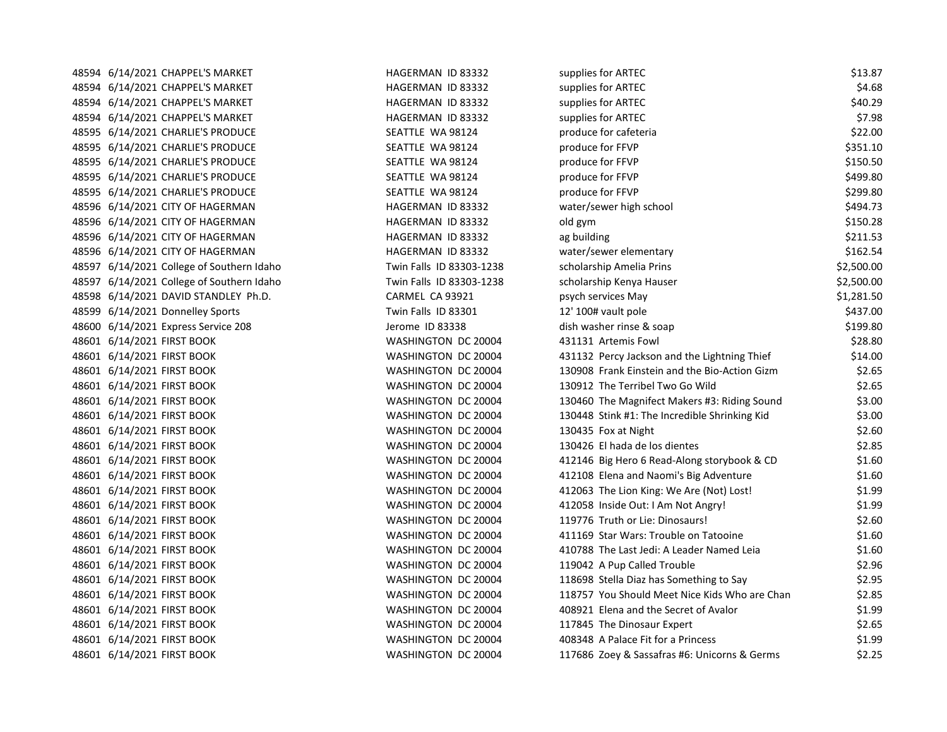| 48594 6/14/2021 CHAPPEL'S MARKET          | HAGERMAN ID 83332        | supplies for ARTEC                            | \$13.87    |
|-------------------------------------------|--------------------------|-----------------------------------------------|------------|
| 48594 6/14/2021 CHAPPEL'S MARKET          | HAGERMAN ID 83332        | supplies for ARTEC                            | \$4.68     |
| 48594 6/14/2021 CHAPPEL'S MARKET          | HAGERMAN ID 83332        | supplies for ARTEC                            | \$40.29    |
| 48594 6/14/2021 CHAPPEL'S MARKET          | HAGERMAN ID 83332        | supplies for ARTEC                            | \$7.98     |
| 48595 6/14/2021 CHARLIE'S PRODUCE         | SEATTLE WA 98124         | produce for cafeteria                         | \$22.00    |
| 48595 6/14/2021 CHARLIE'S PRODUCE         | SEATTLE WA 98124         | produce for FFVP                              | \$351.10   |
| 48595 6/14/2021 CHARLIE'S PRODUCE         | SEATTLE WA 98124         | produce for FFVP                              | \$150.50   |
| 48595 6/14/2021 CHARLIE'S PRODUCE         | SEATTLE WA 98124         | produce for FFVP                              | \$499.80   |
| 48595 6/14/2021 CHARLIE'S PRODUCE         | SEATTLE WA 98124         | produce for FFVP                              | \$299.80   |
| 48596 6/14/2021 CITY OF HAGERMAN          | HAGERMAN ID 83332        | water/sewer high school                       | \$494.73   |
| 48596 6/14/2021 CITY OF HAGERMAN          | HAGERMAN ID 83332        | old gym                                       | \$150.28   |
| 48596 6/14/2021 CITY OF HAGERMAN          | HAGERMAN ID 83332        | ag building                                   | \$211.53   |
| 48596 6/14/2021 CITY OF HAGERMAN          | HAGERMAN ID 83332        | water/sewer elementary                        | \$162.54   |
| 48597 6/14/2021 College of Southern Idaho | Twin Falls ID 83303-1238 | scholarship Amelia Prins                      | \$2,500.00 |
| 48597 6/14/2021 College of Southern Idaho | Twin Falls ID 83303-1238 | scholarship Kenya Hauser                      | \$2,500.00 |
| 48598 6/14/2021 DAVID STANDLEY Ph.D.      | CARMEL CA 93921          | psych services May                            | \$1,281.50 |
| 48599 6/14/2021 Donnelley Sports          | Twin Falls ID 83301      | 12' 100# vault pole                           | \$437.00   |
| 48600 6/14/2021 Express Service 208       | Jerome ID 83338          | dish washer rinse & soap                      | \$199.80   |
| 48601 6/14/2021 FIRST BOOK                | WASHINGTON DC 20004      | 431131 Artemis Fowl                           | \$28.80    |
| 48601 6/14/2021 FIRST BOOK                | WASHINGTON DC 20004      | 431132 Percy Jackson and the Lightning Thief  | \$14.00    |
| 48601 6/14/2021 FIRST BOOK                | WASHINGTON DC 20004      | 130908 Frank Einstein and the Bio-Action Gizm | \$2.65     |
| 48601 6/14/2021 FIRST BOOK                | WASHINGTON DC 20004      | 130912 The Terribel Two Go Wild               | \$2.65     |
| 48601 6/14/2021 FIRST BOOK                | WASHINGTON DC 20004      | 130460 The Magnifect Makers #3: Riding Sound  | \$3.00     |
| 48601 6/14/2021 FIRST BOOK                | WASHINGTON DC 20004      | 130448 Stink #1: The Incredible Shrinking Kid | \$3.00     |
| 48601 6/14/2021 FIRST BOOK                | WASHINGTON DC 20004      | 130435 Fox at Night                           | \$2.60     |
| 48601 6/14/2021 FIRST BOOK                | WASHINGTON DC 20004      | 130426 El hada de los dientes                 | \$2.85     |
| 48601 6/14/2021 FIRST BOOK                | WASHINGTON DC 20004      | 412146 Big Hero 6 Read-Along storybook & CD   | \$1.60     |
| 48601 6/14/2021 FIRST BOOK                | WASHINGTON DC 20004      | 412108 Elena and Naomi's Big Adventure        | \$1.60     |
| 48601 6/14/2021 FIRST BOOK                | WASHINGTON DC 20004      | 412063 The Lion King: We Are (Not) Lost!      | \$1.99     |
| 48601 6/14/2021 FIRST BOOK                | WASHINGTON DC 20004      | 412058 Inside Out: I Am Not Angry!            | \$1.99     |
| 48601 6/14/2021 FIRST BOOK                | WASHINGTON DC 20004      | 119776 Truth or Lie: Dinosaurs!               | \$2.60     |
| 48601 6/14/2021 FIRST BOOK                | WASHINGTON DC 20004      | 411169 Star Wars: Trouble on Tatooine         | \$1.60     |
| 48601 6/14/2021 FIRST BOOK                | WASHINGTON DC 20004      | 410788 The Last Jedi: A Leader Named Leia     | \$1.60     |
| 48601 6/14/2021 FIRST BOOK                | WASHINGTON DC 20004      | 119042 A Pup Called Trouble                   | \$2.96     |
| 48601 6/14/2021 FIRST BOOK                | WASHINGTON DC 20004      | 118698 Stella Diaz has Something to Say       | \$2.95     |
| 48601 6/14/2021 FIRST BOOK                | WASHINGTON DC 20004      | 118757 You Should Meet Nice Kids Who are Chan | \$2.85     |
| 48601 6/14/2021 FIRST BOOK                | WASHINGTON DC 20004      | 408921 Elena and the Secret of Avalor         | \$1.99     |
| 48601 6/14/2021 FIRST BOOK                | WASHINGTON DC 20004      | 117845 The Dinosaur Expert                    | \$2.65     |
| 48601 6/14/2021 FIRST BOOK                | WASHINGTON DC 20004      | 408348 A Palace Fit for a Princess            | \$1.99     |
| 48601 6/14/2021 FIRST BOOK                | WASHINGTON DC 20004      | 117686 Zoey & Sassafras #6: Unicorns & Germs  | \$2.25     |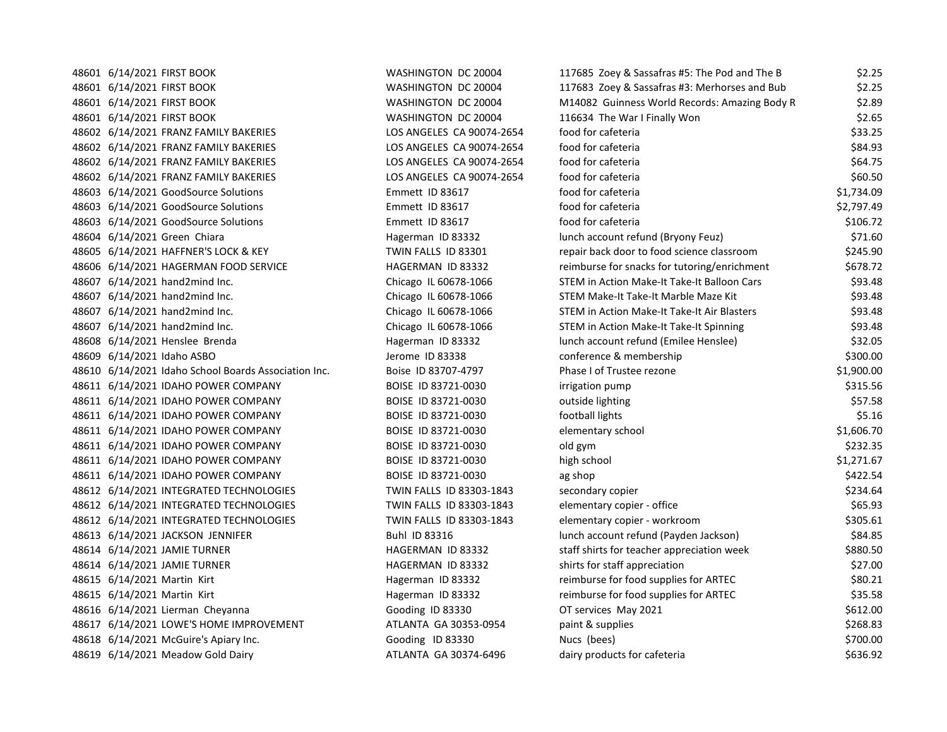|  | 48601 6/14/2021 FIRST BOOK                           | WASHINGTON DC 20004       | 117685 Zoey & Sassafras #5: The Pod and The B | \$2.25     |
|--|------------------------------------------------------|---------------------------|-----------------------------------------------|------------|
|  | 48601 6/14/2021 FIRST BOOK                           | WASHINGTON DC 20004       | 117683 Zoey & Sassafras #3: Merhorses and Bub | \$2.25     |
|  | 48601 6/14/2021 FIRST BOOK                           | WASHINGTON DC 20004       | M14082 Guinness World Records: Amazing Body R | \$2.89     |
|  | 48601 6/14/2021 FIRST BOOK                           | WASHINGTON DC 20004       | 116634 The War I Finally Won                  | \$2.65     |
|  | 48602 6/14/2021 FRANZ FAMILY BAKERIES                | LOS ANGELES CA 90074-2654 | food for cafeteria                            | \$33.25    |
|  | 48602 6/14/2021 FRANZ FAMILY BAKERIES                | LOS ANGELES CA 90074-2654 | food for cafeteria                            | \$84.93    |
|  | 48602 6/14/2021 FRANZ FAMILY BAKERIES                | LOS ANGELES CA 90074-2654 | food for cafeteria                            | \$64.75    |
|  | 48602 6/14/2021 FRANZ FAMILY BAKERIES                | LOS ANGELES CA 90074-2654 | food for cafeteria                            | \$60.50    |
|  | 48603 6/14/2021 GoodSource Solutions                 | Emmett ID 83617           | food for cafeteria                            | \$1,734.09 |
|  | 48603 6/14/2021 GoodSource Solutions                 | Emmett ID 83617           | food for cafeteria                            | \$2,797.49 |
|  | 48603 6/14/2021 GoodSource Solutions                 | Emmett ID 83617           | food for cafeteria                            | \$106.72   |
|  | 48604 6/14/2021 Green Chiara                         | Hagerman ID 83332         | lunch account refund (Bryony Feuz)            | \$71.60    |
|  | 48605 6/14/2021 HAFFNER'S LOCK & KEY                 | TWIN FALLS ID 83301       | repair back door to food science classroom    | \$245.90   |
|  | 48606 6/14/2021 HAGERMAN FOOD SERVICE                | HAGERMAN ID 83332         | reimburse for snacks for tutoring/enrichment  | \$678.72   |
|  | 48607 6/14/2021 hand2mind Inc.                       | Chicago IL 60678-1066     | STEM in Action Make-It Take-It Balloon Cars   | \$93.48    |
|  | 48607 6/14/2021 hand2mind Inc.                       | Chicago IL 60678-1066     | STEM Make-It Take-It Marble Maze Kit          | \$93.48    |
|  | 48607 6/14/2021 hand2mind Inc.                       | Chicago IL 60678-1066     | STEM in Action Make-It Take-It Air Blasters   | \$93.48    |
|  | 48607 6/14/2021 hand2mind Inc.                       | Chicago IL 60678-1066     | STEM in Action Make-It Take-It Spinning       | \$93.48    |
|  | 48608 6/14/2021 Henslee Brenda                       | Hagerman ID 83332         | lunch account refund (Emilee Henslee)         | \$32.05    |
|  | 48609 6/14/2021 Idaho ASBO                           | Jerome ID 83338           | conference & membership                       | \$300.00   |
|  | 48610 6/14/2021 Idaho School Boards Association Inc. | Boise ID 83707-4797       | Phase I of Trustee rezone                     | \$1,900.00 |
|  | 48611 6/14/2021 IDAHO POWER COMPANY                  | BOISE ID 83721-0030       | irrigation pump                               | \$315.56   |
|  | 48611 6/14/2021 IDAHO POWER COMPANY                  | BOISE ID 83721-0030       | outside lighting                              | \$57.58    |
|  | 48611 6/14/2021 IDAHO POWER COMPANY                  | BOISE ID 83721-0030       | football lights                               | \$5.16     |
|  | 48611 6/14/2021 IDAHO POWER COMPANY                  | BOISE ID 83721-0030       | elementary school                             | \$1,606.70 |
|  | 48611 6/14/2021 IDAHO POWER COMPANY                  | BOISE ID 83721-0030       | old gym                                       | \$232.35   |
|  | 48611 6/14/2021 IDAHO POWER COMPANY                  | BOISE ID 83721-0030       | high school                                   | \$1,271.67 |
|  | 48611 6/14/2021 IDAHO POWER COMPANY                  | BOISE ID 83721-0030       | ag shop                                       | \$422.54   |
|  | 48612 6/14/2021 INTEGRATED TECHNOLOGIES              | TWIN FALLS ID 83303-1843  | secondary copier                              | \$234.64   |
|  | 48612 6/14/2021 INTEGRATED TECHNOLOGIES              | TWIN FALLS ID 83303-1843  | elementary copier - office                    | \$65.93    |
|  | 48612 6/14/2021 INTEGRATED TECHNOLOGIES              | TWIN FALLS ID 83303-1843  | elementary copier - workroom                  | \$305.61   |
|  | 48613 6/14/2021 JACKSON JENNIFER                     | Buhl ID 83316             | lunch account refund (Payden Jackson)         | \$84.85    |
|  | 48614 6/14/2021 JAMIE TURNER                         | HAGERMAN ID 83332         | staff shirts for teacher appreciation week    | \$880.50   |
|  | 48614 6/14/2021 JAMIE TURNER                         | HAGERMAN ID 83332         | shirts for staff appreciation                 | \$27.00    |
|  | 48615 6/14/2021 Martin Kirt                          | Hagerman ID 83332         | reimburse for food supplies for ARTEC         | \$80.21    |
|  | 48615 6/14/2021 Martin Kirt                          | Hagerman ID 83332         | reimburse for food supplies for ARTEC         | \$35.58    |
|  | 48616 6/14/2021 Lierman Cheyanna                     | Gooding ID 83330          | OT services May 2021                          | \$612.00   |
|  | 48617 6/14/2021 LOWE'S HOME IMPROVEMENT              | ATLANTA GA 30353-0954     | paint & supplies                              | \$268.83   |
|  | 48618 6/14/2021 McGuire's Apiary Inc.                | Gooding ID 83330          | Nucs (bees)                                   | \$700.00   |
|  | 48619 6/14/2021 Meadow Gold Dairy                    | ATLANTA GA 30374-6496     | dairy products for cafeteria                  | \$636.92   |
|  |                                                      |                           |                                               |            |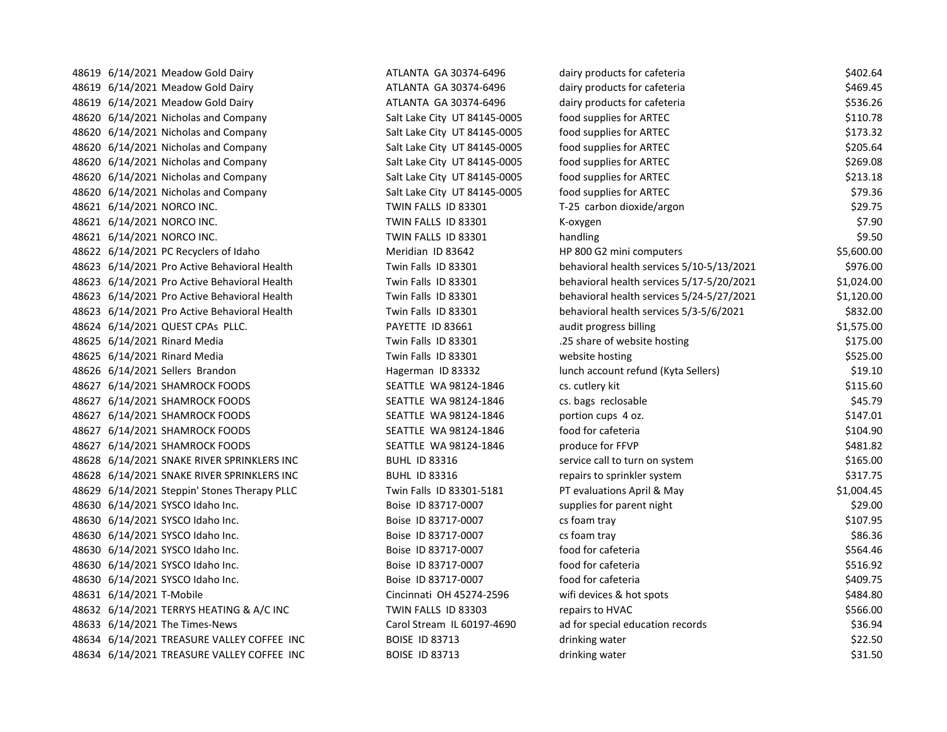48619 6/14/2021 Meadow Gold Dairy **ATLANTA GA 30374-6496** dai 48619 6/14/2021 Meadow Gold Dairy **ATLANTA GA 30374-6496** dairy products for care care cafety for care a 460.45 48619 6/14/2021 Meadow Gold Dairy **ATLANTA GA 30374-6496** dairy products for care care cafety for care cafety 48620 6/14/2021 Nicholas and Company Salt Lake City UT 84145-0005 for ARTEC \$110. 48620 6/14/2021 Nicholas and Company Salt Lake City UT 84145-0005 for ARTEC \$173. 48620 6/14/2021 Nicholas and Company Salt Lake City UT 84145-0005 for ARTEC \$305.645.646 48620 6/14/2021 Nicholas and Company Salt Lake City UT 84145-0005 for ARTEC \$369.08 48620 6/14/2021 Nicholas and Company Salt Lake City UT 84145-0005 for ARTEC supplies for ARTEC \$313.1818.1818.1 48620 6/14/2021 Nicholas and Company Salt Lake City UT 84145-0005 for ARTEC \$79.366 48621 6/14/2021 NORCO INC. TWIN FALLS ID 83301 48621 6/14/2021 NORCO INC. TWIN FALLS ID 83301 K-oxygen \$7.90 48621 6/14/2021 NORCO INC. TWIN FALLS ID 83301 48622 6/14/2021 PC Recyclers of Idaho Meridian ID 83642 48623 6/14/2021 Pro Active Behavioral Health Twin Falls ID 83301 48623 6/14/2021 Pro Active Behavioral Health Twin Falls ID 83301 behavioral health services 5000 behavioral health services 5000 behavioral health services 5000 behavioral health services 5000 behavioral health services 50 48623 6/14/2021 Pro Active Behavioral Health Twin Falls ID 83301 48623 6/14/2021 Pro Active Behavioral Health Twin Falls ID 83301 48624 6/14/2021 QUEST CPAs PLLC. PAYETTE ID 83661 48625 6/14/2021 Rinard Media **Twin Falls ID 83301** ... 18625 6/14/2021 Rinard Media 188625 6/14/2021 Rinard Media 1825.000 website hosting \$525.000 website hosting \$ 48626 6/14/2021 Sellers Brandon **Hagerman ID 83332** lunch account refund to Sellers 48627 6/14/2021 SHAMROCK FOODS SEATTLE WA 98124-1846 c 48627 6/14/2021 SHAMROCK FOODS SEATTLE WA 98124-1846 cs. 48627 6/14/2021 SHAMROCK FOODS SEATTLE WA 98124-1846 portion cups 48627 6/14/2021 48627 6/14/2021 SHAMROCK FOODS SEATTLE WA 98124-1846 food for cafeteria \$104.90 48627 6/14/2021 SHAMROCK FOODS SEATTLE WA 98124-1846 produce for FITLE SEATTLE WA 98124-1846 48628 6/14/2021 SNAKE RIVER SPRINKLERS INC BUHL ID 83316 service call to turn on system \$165.00 48628 6/14/2021 SNAKE RIVER SPRINKLERS INC BUHL ID 83316 repairs to sprinkler system \$317.75 48629 6/14/2021 Steppin' Stones Therapy PLLC Twin Falls ID 83301-5181 PT evaluations April April & May 51,000 48630 6/14/2021 SYSCO Idaho Inc. 6 and part of part of part of part of part of part of part of part of part of p 48630 6/14/2021 SYSCO Idaho Inc. Boise ID 83717-0007 cs foam traditional transition of the extension of the extension of the extension of the extension of the extension of the extension of the extension of the extension of 48630 6/14/2021 SYSCO Idaho Inc. 6 and the Boise ID 83717-0007 cs for form that the contract of the contract o 48630 6/14/2021 SYSCO Idaho Inc. https://www.boise ID 83717-0007 for for for for careform for for careform for 48630 6/14/2021 SYSCO Idaho Inc. https://www.boise ID 83717-0007 for for for for careform for for careform for 48630 6/14/2021 SYSCO Idaho Inc. both and for care in Boise ID 83717-0007 for care for for care for care for cafety 48631 6/14/2021 T-Mobile Cincinnati OH 45274-2596 with variable spots  $\alpha$ 48632 6/14/2021 TERRYS HEATING & A/C INC TWIN FALLS ID 83303 Trepairs to H 48633 6/14/2021 The Times-News **Carol Stream IL 60197-4690** add for special education records  $\frac{1}{2}$ 48634 6/14/2021 TREASURE VALLEY COFFEE INC BOISE ID 83713 drinking water and the drinking water and drinking water  $d$ 48634 6/14/2021 TREASURE VALLEY COFFEE INC BOISE ID 83713 drinking water and the state of drinking water and d

| lairy products for cafeteria             | \$402.64   |
|------------------------------------------|------------|
| lairy products for cafeteria             | \$469.45   |
| lairy products for cafeteria             | \$536.26   |
| ood supplies for ARTEC                   | \$110.78   |
| ood supplies for ARTEC                   | \$173.32   |
| ood supplies for ARTEC                   | \$205.64   |
| ood supplies for ARTEC                   | \$269.08   |
| ood supplies for ARTEC                   | \$213.18   |
| ood supplies for ARTEC                   | \$79.36    |
| -25 carbon dioxide/argon                 | \$29.75    |
| <-oxygen                                 | \$7.90     |
| andling                                  | \$9.50     |
| HP 800 G2 mini computers                 | \$5,600.00 |
| ehavioral health services 5/10-5/13/2021 | \$976.00   |
| ehavioral health services 5/17-5/20/2021 | \$1,024.00 |
| ehavioral health services 5/24-5/27/2021 | \$1,120.00 |
| ehavioral health services 5/3-5/6/2021   | \$832.00   |
| udit progress billing                    | \$1,575.00 |
| 25 share of website hosting              | \$175.00   |
| vebsite hosting                          | \$525.00   |
| unch account refund (Kyta Sellers)       | \$19.10    |
| s. cutlery kit:                          | \$115.60   |
| s. bags reclosable                       | \$45.79    |
| oortion cups 4 oz.                       | \$147.01   |
| ood for cafeteria                        | \$104.90   |
| produce for FFVP                         | \$481.82   |
| ervice call to turn on system            | \$165.00   |
| epairs to sprinkler system               | \$317.75   |
| T evaluations April & May                | \$1,004.45 |
| upplies for parent night                 | \$29.00    |
| s foam tray                              | \$107.95   |
| s foam tray:                             | \$86.36    |
| ood for cafeteria                        | \$564.46   |
| ood for cafeteria                        | \$516.92   |
| ood for cafeteria                        | \$409.75   |
| vifi devices & hot spots                 | \$484.80   |
| epairs to HVAC                           | \$566.00   |
| d for special education records          | \$36.94    |
| drinking water                           | \$22.50    |
| drinking water                           | \$31.50    |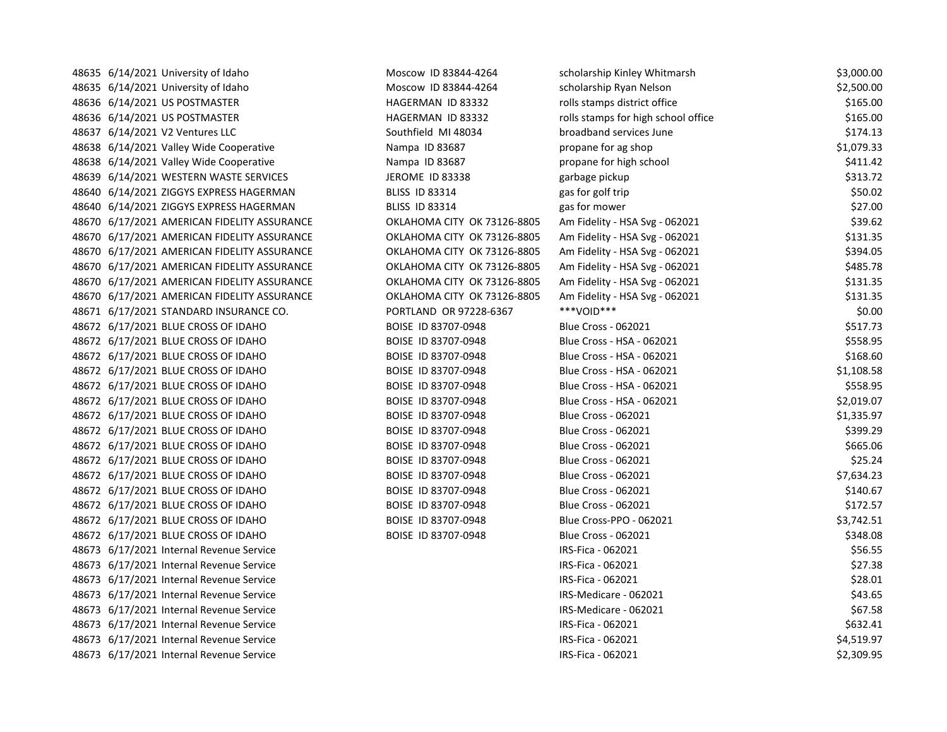48635 6/14/2021 University of Idaho Noscow ID 83844-4264 scholarship Kinley Whitmarsh \$3,000.00 48635 6/14/2021 University of Idaho Noscow ID 83844-4264 scholarship Ryan Nelson \$2,500.00 48636 6/14/2021 US POSTMASTER **HAGERMAN ID 83332** rolls stamps district office \$165.00 48636 6/14/2021 US POSTMASTER **HAGERMAN ID 83332** rolls stamps for high school office \$165.00 48637 6/14/2021 V2 Ventures LLC Southfield MI 48034 broadband services June \$174.13 48638 6/14/2021 Valley Wide Cooperative **Nampa ID 83687** propane for ag shop \$1,079.33 48638 6/14/2021 Valley Wide Cooperative Nampa ID 83687 propane for high school \$411.42 48639 6/14/2021 WESTERN WASTE SERVICES THE SERVICES THE SERVICES SERVICES SERVICES ARE SERVICES AND STREAM STREAM SANTA SALLY SALLY SALLY SALLY SALLY SALLY SALLY SALLY SALLY SALLY SALLY SALLY SALLY SALLY SALLY SALLY SALLY 48640 6/14/2021 ZIGGYS EXPRESS HAGERMAN BLISS ID 83314 gas for golf trip and the state of the state state of the state state of the state state state state state state state state state state state state state state state 48640 6/14/2021 ZIGGYS EXPRESS HAGERMAN BLISS ID 83314 gas for mower \$27.00 48670 6/17/2021 AMERICAN FIDELITY ASSURANCE OKLAHOMA CITY OK 73126-8805 Am Fidelity - HSA Svg - 062021 \$39.62 48670 6/17/2021 AMERICAN FIDELITY ASSURANCE OKLAHOMA CITY OK 73126-8805 Am Fidelity - HSA Svg - 062021 \$131.35 48670 6/17/2021 AMERICAN FIDELITY ASSURANCE OKLAHOMA CITY OK 73126-8805 Am Fidelity - HSA Svg - 062021 \$394.05 48670 6/17/2021 AMERICAN FIDELITY ASSURANCE **OKLAHOMA CITY OK 73126-8805** Am Fidelity - HSA Svg - 062021 \$485.78 48670 6/17/2021 AMERICAN FIDELITY ASSURANCE OKLAHOMA CITY OK 73126-8805 Am Fidelity - HSA Svg - 062021 \$131.35 48670 6/17/2021 AMERICAN FIDELITY ASSURANCE **OKLAHOMA CITY OK 73126-8805** Am Fidelity - HSA Svg - 062021 \$131.35 48671 6/17/2021 STANDARD INSURANCE CO. PORTLAND OR 97228-6367 \*\*\*VOID\*\*\* \$0.00 48672 6/17/2021 BLUE CROSS OF IDAHO BOISE ID 83707-0948 Blue Cross - 062021 \$517.73 48672 6/17/2021 BLUE CROSS OF IDAHO BOISE ID 83707-0948 Blue Cross - HSA - 062021 \$558.95 \$558.95 48672 6/17/2021 BLUE CROSS OF IDAHO BOISE ID 83707-0948 Blue Cross - HSA - 062021 \$168.60 48672 6/17/2021 BLUE CROSS OF IDAHO BOISE ID 83707-0948 Blue Cross - HSA - 062021 \$1,108.58 48672 6/17/2021 BLUE CROSS OF IDAHO BOISE ID 83707-0948 Blue Cross - HSA - 062021 \$558.95 \$558.95 48672 6/17/2021 BLUE CROSS OF IDAHO BOISE ID 83707-0948 Blue Cross - HSA - 062021 \$2,019.07 48672 6/17/2021 BLUE CROSS OF IDAHO BOISE ID 83707-0948 Blue Cross - 062021 \$1,335.97 48672 6/17/2021 BLUE CROSS OF IDAHO BOISE ID 83707-0948 Blue Cross - 062021 \$399.29 48672 6/17/2021 BLUE CROSS OF IDAHO BOISE ID 83707-0948 Blue Cross - 062021 5665.06 48672 6/17/2021 BLUE CROSS OF IDAHO BOISE ID 83707-0948 Blue Cross - 062021 BLUE COSS - 062021 48672 6/17/2021 BLUE CROSS OF IDAHO BOISE ID 83707-0948 Blue Cross - 062021 57,634.23 48672 6/17/2021 BLUE CROSS OF IDAHO BOISE ID 83707-0948 Blue Cross - 062021 BLUE Cross - 062021 48672 6/17/2021 BLUE CROSS OF IDAHO BOISE ID 83707-0948 Blue Cross - 062021 \$172.57 48672 6/17/2021 BLUE CROSS OF IDAHO BOISE ID 83707-0948 Blue Cross-PPO - 062021 \$3,742.51 48672 6/17/2021 BLUE CROSS OF IDAHO BOISE ID 83707-0948 Blue Cross - 062021 348.08 48673 6/17/2021 Internal Revenue Service IRS-Fica - 062021 \$56.55 48673 6/17/2021 Internal Revenue Service Service Communication Communication Communication Communication Communication S27.38 48673 6/17/2021 Internal Revenue Service IRS-Fica - 062021 \$28.01 48673 6/17/2021 Internal Revenue Service Service Cases and Superior Cases and Superior Cases and Superior Cases (States and Superior Service Service Service Service Service Service Service Service Service Service Service S 48673 6/17/2021 Internal Revenue Service Service Communication of the Communication of the URS-Medicare - 062021 \$67.58 48673 6/17/2021 Internal Revenue Service **IRS-Fica - 062021** IRS-Fica - 062021 5632.41 48673 6/17/2021 Internal Revenue Service **IRS-Fica - 062021** IRS-Fica - 062021 34,519.97 48673 6/17/2021 Internal Revenue Service 2.309.95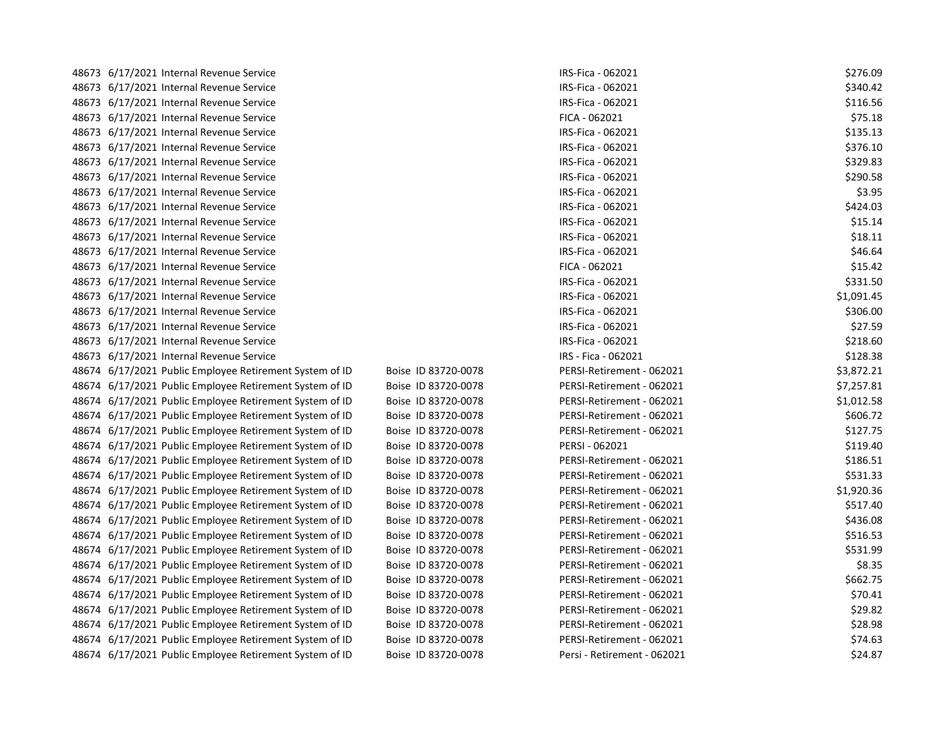| 48673 6/17/2021 Internal Revenue Service                |                     | IRS-Fica - 062021           | \$276.09   |
|---------------------------------------------------------|---------------------|-----------------------------|------------|
| 48673 6/17/2021 Internal Revenue Service                |                     | IRS-Fica - 062021           | \$340.42   |
| 48673 6/17/2021 Internal Revenue Service                |                     | IRS-Fica - 062021           | \$116.56   |
| 48673 6/17/2021 Internal Revenue Service                |                     | FICA - 062021               | \$75.18    |
| 48673 6/17/2021 Internal Revenue Service                |                     | IRS-Fica - 062021           | \$135.13   |
| 48673 6/17/2021 Internal Revenue Service                |                     | IRS-Fica - 062021           | \$376.10   |
| 48673 6/17/2021 Internal Revenue Service                |                     | IRS-Fica - 062021           | \$329.83   |
| 48673 6/17/2021 Internal Revenue Service                |                     | IRS-Fica - 062021           | \$290.58   |
| 48673 6/17/2021 Internal Revenue Service                |                     | IRS-Fica - 062021           | \$3.95     |
| 48673 6/17/2021 Internal Revenue Service                |                     | IRS-Fica - 062021           | \$424.03   |
| 48673 6/17/2021 Internal Revenue Service                |                     | IRS-Fica - 062021           | \$15.14    |
| 48673 6/17/2021 Internal Revenue Service                |                     | IRS-Fica - 062021           | \$18.11    |
| 48673 6/17/2021 Internal Revenue Service                |                     | IRS-Fica - 062021           | \$46.64    |
| 48673 6/17/2021 Internal Revenue Service                |                     | FICA - 062021               | \$15.42    |
| 48673 6/17/2021 Internal Revenue Service                |                     | IRS-Fica - 062021           | \$331.50   |
| 48673 6/17/2021 Internal Revenue Service                |                     | IRS-Fica - 062021           | \$1,091.45 |
| 48673 6/17/2021 Internal Revenue Service                |                     | IRS-Fica - 062021           | \$306.00   |
| 48673 6/17/2021 Internal Revenue Service                |                     | IRS-Fica - 062021           | \$27.59    |
| 48673 6/17/2021 Internal Revenue Service                |                     | IRS-Fica - 062021           | \$218.60   |
| 48673 6/17/2021 Internal Revenue Service                |                     | IRS - Fica - 062021         | \$128.38   |
| 48674 6/17/2021 Public Employee Retirement System of ID | Boise ID 83720-0078 | PERSI-Retirement - 062021   | \$3,872.21 |
| 48674 6/17/2021 Public Employee Retirement System of ID | Boise ID 83720-0078 | PERSI-Retirement - 062021   | \$7,257.81 |
| 48674 6/17/2021 Public Employee Retirement System of ID | Boise ID 83720-0078 | PERSI-Retirement - 062021   | \$1,012.58 |
| 48674 6/17/2021 Public Employee Retirement System of ID | Boise ID 83720-0078 | PERSI-Retirement - 062021   | \$606.72   |
| 48674 6/17/2021 Public Employee Retirement System of ID | Boise ID 83720-0078 | PERSI-Retirement - 062021   | \$127.75   |
| 48674 6/17/2021 Public Employee Retirement System of ID | Boise ID 83720-0078 | PERSI - 062021              | \$119.40   |
| 48674 6/17/2021 Public Employee Retirement System of ID | Boise ID 83720-0078 | PERSI-Retirement - 062021   | \$186.51   |
| 48674 6/17/2021 Public Employee Retirement System of ID | Boise ID 83720-0078 | PERSI-Retirement - 062021   | \$531.33   |
| 48674 6/17/2021 Public Employee Retirement System of ID | Boise ID 83720-0078 | PERSI-Retirement - 062021   | \$1,920.36 |
| 48674 6/17/2021 Public Employee Retirement System of ID | Boise ID 83720-0078 | PERSI-Retirement - 062021   | \$517.40   |
| 48674 6/17/2021 Public Employee Retirement System of ID | Boise ID 83720-0078 | PERSI-Retirement - 062021   | \$436.08   |
| 48674 6/17/2021 Public Employee Retirement System of ID | Boise ID 83720-0078 | PERSI-Retirement - 062021   | \$516.53   |
| 48674 6/17/2021 Public Employee Retirement System of ID | Boise ID 83720-0078 | PERSI-Retirement - 062021   | \$531.99   |
| 48674 6/17/2021 Public Employee Retirement System of ID | Boise ID 83720-0078 | PERSI-Retirement - 062021   | \$8.35     |
| 48674 6/17/2021 Public Employee Retirement System of ID | Boise ID 83720-0078 | PERSI-Retirement - 062021   | \$662.75   |
| 48674 6/17/2021 Public Employee Retirement System of ID | Boise ID 83720-0078 | PERSI-Retirement - 062021   | \$70.41    |
| 48674 6/17/2021 Public Employee Retirement System of ID | Boise ID 83720-0078 | PERSI-Retirement - 062021   | \$29.82    |
| 48674 6/17/2021 Public Employee Retirement System of ID | Boise ID 83720-0078 | PERSI-Retirement - 062021   | \$28.98    |
| 48674 6/17/2021 Public Employee Retirement System of ID | Boise ID 83720-0078 | PERSI-Retirement - 062021   | \$74.63    |
| 48674 6/17/2021 Public Employee Retirement System of ID | Boise ID 83720-0078 | Persi - Retirement - 062021 | \$24.87    |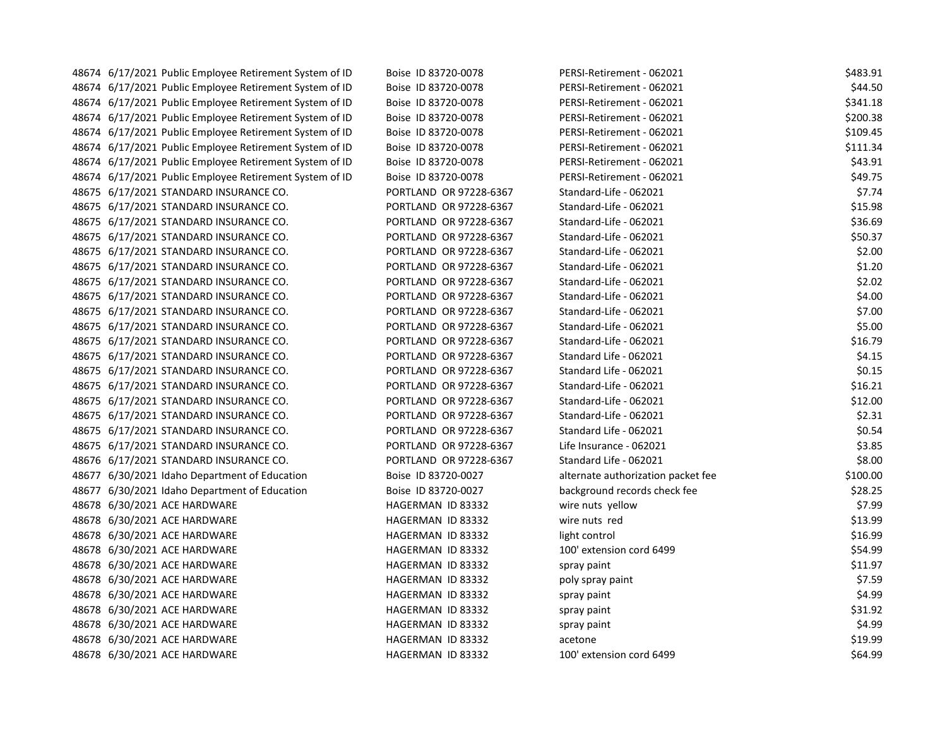| 48674 6/17/2021 Public Employee Retirement System of ID | Boise ID 83720-0078    | PERSI-Retirement - 062021          | \$483.91 |
|---------------------------------------------------------|------------------------|------------------------------------|----------|
| 48674 6/17/2021 Public Employee Retirement System of ID | Boise ID 83720-0078    | PERSI-Retirement - 062021          | \$44.50  |
| 48674 6/17/2021 Public Employee Retirement System of ID | Boise ID 83720-0078    | PERSI-Retirement - 062021          | \$341.18 |
| 48674 6/17/2021 Public Employee Retirement System of ID | Boise ID 83720-0078    | PERSI-Retirement - 062021          | \$200.38 |
| 48674 6/17/2021 Public Employee Retirement System of ID | Boise ID 83720-0078    | PERSI-Retirement - 062021          | \$109.45 |
| 48674 6/17/2021 Public Employee Retirement System of ID | Boise ID 83720-0078    | PERSI-Retirement - 062021          | \$111.34 |
| 48674 6/17/2021 Public Employee Retirement System of ID | Boise ID 83720-0078    | PERSI-Retirement - 062021          | \$43.91  |
| 48674 6/17/2021 Public Employee Retirement System of ID | Boise ID 83720-0078    | PERSI-Retirement - 062021          | \$49.75  |
| 48675 6/17/2021 STANDARD INSURANCE CO.                  | PORTLAND OR 97228-6367 | Standard-Life - 062021             | \$7.74   |
| 48675 6/17/2021 STANDARD INSURANCE CO.                  | PORTLAND OR 97228-6367 | Standard-Life - 062021             | \$15.98  |
| 48675 6/17/2021 STANDARD INSURANCE CO.                  | PORTLAND OR 97228-6367 | Standard-Life - 062021             | \$36.69  |
| 48675 6/17/2021 STANDARD INSURANCE CO.                  | PORTLAND OR 97228-6367 | Standard-Life - 062021             | \$50.37  |
| 48675 6/17/2021 STANDARD INSURANCE CO.                  | PORTLAND OR 97228-6367 | Standard-Life - 062021             | \$2.00   |
| 48675 6/17/2021 STANDARD INSURANCE CO.                  | PORTLAND OR 97228-6367 | Standard-Life - 062021             | \$1.20   |
| 48675 6/17/2021 STANDARD INSURANCE CO.                  | PORTLAND OR 97228-6367 | Standard-Life - 062021             | \$2.02   |
| 48675 6/17/2021 STANDARD INSURANCE CO.                  | PORTLAND OR 97228-6367 | Standard-Life - 062021             | \$4.00   |
| 48675 6/17/2021 STANDARD INSURANCE CO.                  | PORTLAND OR 97228-6367 | Standard-Life - 062021             | \$7.00   |
| 48675 6/17/2021 STANDARD INSURANCE CO.                  | PORTLAND OR 97228-6367 | Standard-Life - 062021             | \$5.00   |
| 48675 6/17/2021 STANDARD INSURANCE CO.                  | PORTLAND OR 97228-6367 | Standard-Life - 062021             | \$16.79  |
| 48675 6/17/2021 STANDARD INSURANCE CO.                  | PORTLAND OR 97228-6367 | Standard Life - 062021             | \$4.15   |
| 48675 6/17/2021 STANDARD INSURANCE CO.                  | PORTLAND OR 97228-6367 | Standard Life - 062021             | \$0.15   |
| 48675 6/17/2021 STANDARD INSURANCE CO.                  | PORTLAND OR 97228-6367 | Standard-Life - 062021             | \$16.21  |
| 48675 6/17/2021 STANDARD INSURANCE CO.                  | PORTLAND OR 97228-6367 | Standard-Life - 062021             | \$12.00  |
| 48675 6/17/2021 STANDARD INSURANCE CO.                  | PORTLAND OR 97228-6367 | Standard-Life - 062021             | \$2.31   |
| 48675 6/17/2021 STANDARD INSURANCE CO.                  | PORTLAND OR 97228-6367 | Standard Life - 062021             | \$0.54   |
| 48675 6/17/2021 STANDARD INSURANCE CO.                  | PORTLAND OR 97228-6367 | Life Insurance - 062021            | \$3.85   |
| 48676 6/17/2021 STANDARD INSURANCE CO.                  | PORTLAND OR 97228-6367 | Standard Life - 062021             | \$8.00   |
| 48677 6/30/2021 Idaho Department of Education           | Boise ID 83720-0027    | alternate authorization packet fee | \$100.00 |
| 48677 6/30/2021 Idaho Department of Education           | Boise ID 83720-0027    | background records check fee       | \$28.25  |
| 48678 6/30/2021 ACE HARDWARE                            | HAGERMAN ID 83332      | wire nuts yellow                   | \$7.99   |
| 48678 6/30/2021 ACE HARDWARE                            | HAGERMAN ID 83332      | wire nuts red                      | \$13.99  |
| 48678 6/30/2021 ACE HARDWARE                            | HAGERMAN ID 83332      | light control                      | \$16.99  |
| 48678 6/30/2021 ACE HARDWARE                            | HAGERMAN ID 83332      | 100' extension cord 6499           | \$54.99  |
| 48678 6/30/2021 ACE HARDWARE                            | HAGERMAN ID 83332      | spray paint                        | \$11.97  |
| 48678 6/30/2021 ACE HARDWARE                            | HAGERMAN ID 83332      | poly spray paint                   | \$7.59   |
| 48678 6/30/2021 ACE HARDWARE                            | HAGERMAN ID 83332      | spray paint                        | \$4.99   |
| 48678 6/30/2021 ACE HARDWARE                            | HAGERMAN ID 83332      | spray paint                        | \$31.92  |
| 48678 6/30/2021 ACE HARDWARE                            | HAGERMAN ID 83332      | spray paint                        | \$4.99   |
| 48678 6/30/2021 ACE HARDWARE                            | HAGERMAN ID 83332      | acetone                            | \$19.99  |
| 48678 6/30/2021 ACE HARDWARE                            | HAGERMAN ID 83332      | 100' extension cord 6499           | \$64.99  |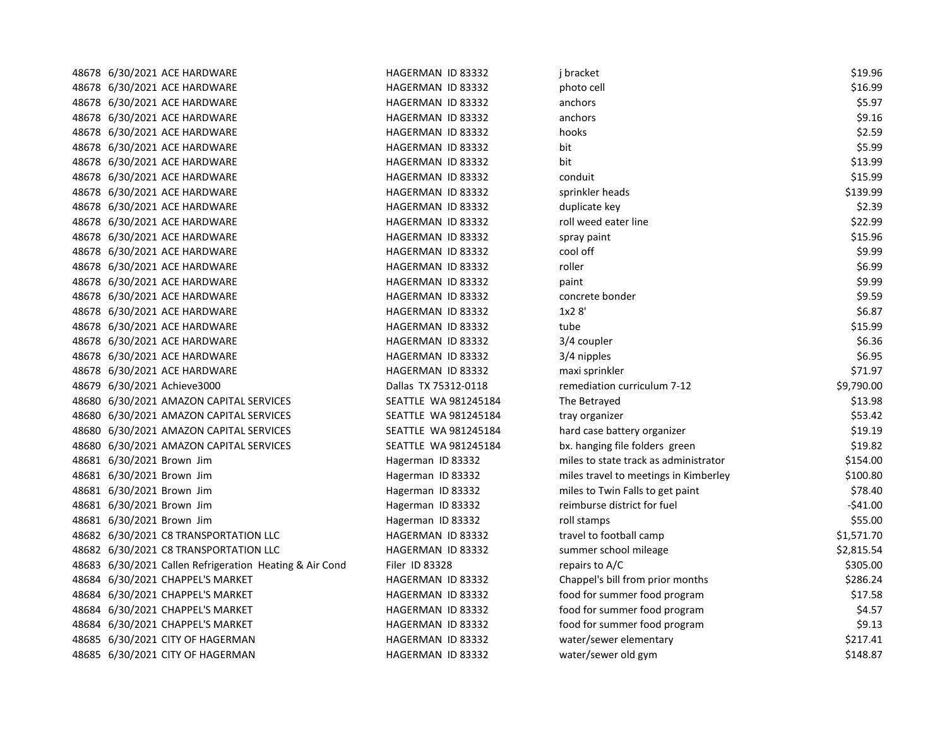| 48678 6/30/2021 ACE HARDWARE                            | HAGERMAN ID 83332    | j bracket                             | \$19.96    |
|---------------------------------------------------------|----------------------|---------------------------------------|------------|
| 48678 6/30/2021 ACE HARDWARE                            | HAGERMAN ID 83332    | photo cell                            | \$16.99    |
| 48678 6/30/2021 ACE HARDWARE                            | HAGERMAN ID 83332    | anchors                               | \$5.97     |
| 48678 6/30/2021 ACE HARDWARE                            | HAGERMAN ID 83332    | anchors                               | \$9.16     |
| 48678 6/30/2021 ACE HARDWARE                            | HAGERMAN ID 83332    | hooks                                 | \$2.59     |
| 48678 6/30/2021 ACE HARDWARE                            | HAGERMAN ID 83332    | bit                                   | \$5.99     |
| 48678 6/30/2021 ACE HARDWARE                            | HAGERMAN ID 83332    | bit                                   | \$13.99    |
| 48678 6/30/2021 ACE HARDWARE                            | HAGERMAN ID 83332    | conduit                               | \$15.99    |
| 48678 6/30/2021 ACE HARDWARE                            | HAGERMAN ID 83332    | sprinkler heads                       | \$139.99   |
| 48678 6/30/2021 ACE HARDWARE                            | HAGERMAN ID 83332    | duplicate key                         | \$2.39     |
| 48678 6/30/2021 ACE HARDWARE                            | HAGERMAN ID 83332    | roll weed eater line                  | \$22.99    |
| 48678 6/30/2021 ACE HARDWARE                            | HAGERMAN ID 83332    | spray paint                           | \$15.96    |
| 48678 6/30/2021 ACE HARDWARE                            | HAGERMAN ID 83332    | cool off                              | \$9.99     |
| 48678 6/30/2021 ACE HARDWARE                            | HAGERMAN ID 83332    | roller                                | \$6.99     |
| 48678 6/30/2021 ACE HARDWARE                            | HAGERMAN ID 83332    | paint                                 | \$9.99     |
| 48678 6/30/2021 ACE HARDWARE                            | HAGERMAN ID 83332    | concrete bonder                       | \$9.59     |
| 48678 6/30/2021 ACE HARDWARE                            | HAGERMAN ID 83332    | 1x28'                                 | \$6.87     |
| 48678 6/30/2021 ACE HARDWARE                            | HAGERMAN ID 83332    | tube                                  | \$15.99    |
| 48678 6/30/2021 ACE HARDWARE                            | HAGERMAN ID 83332    | 3/4 coupler                           | \$6.36     |
| 48678 6/30/2021 ACE HARDWARE                            | HAGERMAN ID 83332    | 3/4 nipples                           | \$6.95     |
| 48678 6/30/2021 ACE HARDWARE                            | HAGERMAN ID 83332    | maxi sprinkler                        | \$71.97    |
| 48679 6/30/2021 Achieve3000                             | Dallas TX 75312-0118 | remediation curriculum 7-12           | \$9,790.00 |
| 48680 6/30/2021 AMAZON CAPITAL SERVICES                 | SEATTLE WA 981245184 | The Betrayed                          | \$13.98    |
| 48680 6/30/2021 AMAZON CAPITAL SERVICES                 | SEATTLE WA 981245184 | tray organizer                        | \$53.42    |
| 48680 6/30/2021 AMAZON CAPITAL SERVICES                 | SEATTLE WA 981245184 | hard case battery organizer           | \$19.19    |
| 48680 6/30/2021 AMAZON CAPITAL SERVICES                 | SEATTLE WA 981245184 | bx. hanging file folders green        | \$19.82    |
| 48681 6/30/2021 Brown Jim                               | Hagerman ID 83332    | miles to state track as administrator | \$154.00   |
| 48681 6/30/2021 Brown Jim                               | Hagerman ID 83332    | miles travel to meetings in Kimberley | \$100.80   |
| 48681 6/30/2021 Brown Jim                               | Hagerman ID 83332    | miles to Twin Falls to get paint      | \$78.40    |
| 48681 6/30/2021 Brown Jim                               | Hagerman ID 83332    | reimburse district for fuel           | $-541.00$  |
| 48681 6/30/2021 Brown Jim                               | Hagerman ID 83332    | roll stamps                           | \$55.00    |
| 48682 6/30/2021 C8 TRANSPORTATION LLC                   | HAGERMAN ID 83332    | travel to football camp               | \$1,571.70 |
| 48682 6/30/2021 C8 TRANSPORTATION LLC                   | HAGERMAN ID 83332    | summer school mileage                 | \$2,815.54 |
| 48683 6/30/2021 Callen Refrigeration Heating & Air Cond | Filer ID 83328       | repairs to A/C                        | \$305.00   |
| 48684 6/30/2021 CHAPPEL'S MARKET                        | HAGERMAN ID 83332    | Chappel's bill from prior months      | \$286.24   |
| 48684 6/30/2021 CHAPPEL'S MARKET                        | HAGERMAN ID 83332    | food for summer food program          | \$17.58    |
| 48684 6/30/2021 CHAPPEL'S MARKET                        | HAGERMAN ID 83332    | food for summer food program          | \$4.57     |
| 48684 6/30/2021 CHAPPEL'S MARKET                        | HAGERMAN ID 83332    | food for summer food program          | \$9.13     |
| 48685 6/30/2021 CITY OF HAGERMAN                        | HAGERMAN ID 83332    | water/sewer elementary                | \$217.41   |
| 48685 6/30/2021 CITY OF HAGERMAN                        | HAGERMAN ID 83332    | water/sewer old gym                   | \$148.87   |